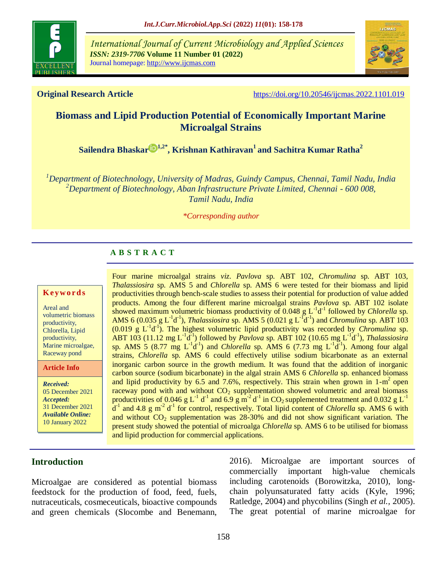

*International Journal of Current Microbiology and Applied Sciences ISSN: 2319-7706* **Volume 11 Number 01 (2022)**  Journal homepage: http://www.ijcmas.com



**Original Research Article** <https://doi.org/10.20546/ijcmas.2022.1101.019>

# **Biomass and Lipid Production Potential of Economically Important Marine Microalgal Strains**

**[Sailendra Bhaskar](https://orcid.org/0000-0003-2406-4271) 1,2\*, Krishnan Kathiravan<sup>1</sup>and Sachitra Kumar Ratha<sup>2</sup>**

*<sup>1</sup>Department of Biotechnology, University of Madras, Guindy Campus, Chennai, Tamil Nadu, India <sup>2</sup>Department of Biotechnology, Aban Infrastructure Private Limited, Chennai - 600 008, Tamil Nadu, India*

*\*Corresponding author*

# **A B S T R A C T**

#### **K ey w o rd s**

Areal and volumetric biomass productivity, Chlorella, Lipid productivity, Marine microalgae, Raceway pond

**Article Info**

*Received:*  05 December 2021 *Accepted:*  31 December 2021 *Available Online:* 10 January 2022

Four marine microalgal strains *viz*. *Pavlova* sp. ABT 102, *Chromulina* sp. ABT 103, *Thalassiosira* sp. AMS 5 and *Chlorella* sp. AMS 6 were tested for their biomass and lipid productivities through bench-scale studies to assess their potential for production of value added products. Among the four different marine microalgal strains *Pavlova* sp. ABT 102 isolate showed maximum volumetric biomass productivity of  $0.048 \text{ g L}^{-1}$ d<sup>-1</sup> followed by *Chlorella* sp. AMS 6 (0.035 g L<sup>-1</sup>d<sup>-1</sup>), *Thalassiosira* sp. AMS 5 (0.021 g L<sup>-1</sup>d<sup>-1</sup>) and *Chromulina* sp. ABT 103  $(0.019 \text{ g } L^{-1}d^{-1})$ . The highest volumetric lipid productivity was recorded by *Chromulina* sp. ABT 103 (11.12 mg  $L^{-1}$ d<sup>-1</sup>) followed by *Pavlova* sp. ABT 102 (10.65 mg  $L^{-1}$ d<sup>-1</sup>), *Thalassiosira* sp. AMS 5 (8.77 mg  $L^{-1}d^{-1}$ ) and *Chlorella* sp. AMS 6 (7.73 mg  $L^{-1}d^{-1}$ ). Among four algal strains, *Chlorella* sp. AMS 6 could effectively utilise sodium bicarbonate as an external inorganic carbon source in the growth medium. It was found that the addition of inorganic carbon source (sodium bicarbonate) in the algal strain AMS 6 *Chlorella* sp. enhanced biomass and lipid productivity by 6.5 and 7.6%, respectively. This strain when grown in  $1-m^2$  open raceway pond with and without  $CO<sub>2</sub>$  supplementation showed volumetric and areal biomass productivities of 0.046 g L<sup>-1</sup> d<sup>-1</sup> and 6.9 g m<sup>-2</sup> d<sup>-1</sup> in CO<sub>2</sub> supplemented treatment and 0.032 g L<sup>-1</sup>  $\mathbf{d}^{-1}$  and 4.8 g m<sup>-2</sup>  $\mathbf{d}^{-1}$  for control, respectively. Total lipid content of *Chlorella* sp. AMS 6 with and without  $CO_2$  supplementation was  $28-30%$  and did not show significant variation. The present study showed the potential of microalga *Chlorella* sp. AMS 6 to be utilised for biomass and lipid production for commercial applications.

## **Introduction**

Microalgae are considered as potential biomass feedstock for the production of food, feed, fuels, nutraceuticals, cosmeceuticals, bioactive compounds and green chemicals (Slocombe and Benemann,

2016). Microalgae are important sources of commercially important high-value chemicals including carotenoids (Borowitzka, 2010), longchain polyunsaturated fatty acids (Kyle, 1996; Ratledge, 2004) and phycobilins (Singh *et al.,* 2005). The great potential of marine microalgae for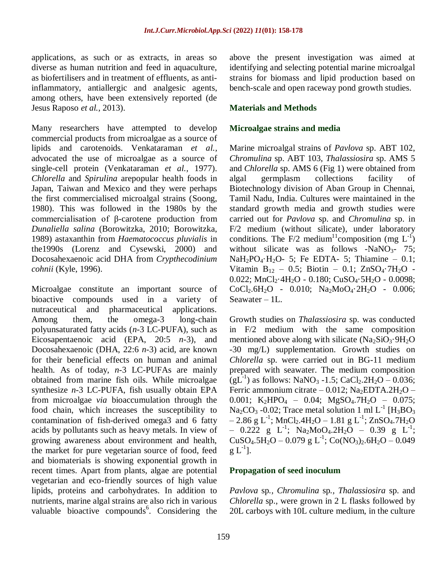applications, as such or as extracts, in areas so diverse as human nutrition and feed in aquaculture, as biofertilisers and in treatment of effluents, as antiinflammatory, antiallergic and analgesic agents, among others, have been extensively reported (de Jesus Raposo *et al.,* 2013).

Many researchers have attempted to develop commercial products from microalgae as a source of lipids and carotenoids. Venkataraman *et al.,* advocated the use of microalgae as a source of single-cell protein (Venkataraman *et al.,* 1977). *Chlorella* and *Spirulina* arepopular health foods in Japan, Taiwan and Mexico and they were perhaps the first commercialised microalgal strains (Soong, 1980). This was followed in the 1980s by the commercialisation of β-carotene production from *Dunaliella salina* (Borowitzka, 2010; Borowitzka, 1989) astaxanthin from *Haematococcus pluvialis* in the1990s (Lorenz and Cysewski, 2000) and Docosahexaenoic acid DHA from *Crypthecodinium cohnii* (Kyle, 1996).

Microalgae constitute an important source of bioactive compounds used in a variety of nutraceutical and pharmaceutical applications. Among them, the omega-3 long-chain polyunsaturated fatty acids (*n*-3 LC-PUFA), such as Eicosapentaenoic acid (EPA, 20:5 *n*-3), and Docosahexaenoic (DHA, 22:6 *n*-3) acid, are known for their beneficial effects on human and animal health. As of today, *n*-3 LC-PUFAs are mainly obtained from marine fish oils. While microalgae synthesize *n*-3 LC-PUFA, fish usually obtain EPA from microalgae *via* bioaccumulation through the food chain, which increases the susceptibility to contamination of fish-derived omega3 and 6 fatty acids by pollutants such as heavy metals. In view of growing awareness about environment and health, the market for pure vegetarian source of food, feed and biomaterials is showing exponential growth in recent times. Apart from plants, algae are potential vegetarian and eco-friendly sources of high value lipids, proteins and carbohydrates. In addition to nutrients, marine algal strains are also rich in various valuable bioactive compounds<sup>6</sup>. Considering the above the present investigation was aimed at identifying and selecting potential marine microalgal strains for biomass and lipid production based on bench-scale and open raceway pond growth studies.

## **Materials and Methods**

#### **Microalgae strains and media**

Marine microalgal strains of *Pavlova* sp. ABT 102, *Chromulina* sp. ABT 103, *Thalassiosira* sp. AMS 5 and *Chlorella* sp. AMS 6 (Fig 1) were obtained from algal germplasm collections facility of Biotechnology division of Aban Group in Chennai, Tamil Nadu, India. Cultures were maintained in the standard growth media and growth studies were carried out for *Pavlova* sp. and *Chromulina* sp. in F/2 medium (without silicate), under laboratory conditions. The F/2 medium<sup>11</sup>composition (mg  $L^{-1}$ ) without silicate was as follows  $-NaNO<sub>3</sub> - 75$ ;  $NaH<sub>2</sub>PO<sub>4</sub>·H<sub>2</sub>O-5$ ; Fe EDTA- 5; Thiamine – 0.1; Vitamin  $B_{12} - 0.5$ ; Biotin – 0.1; ZnSO<sub>4</sub>·7H<sub>2</sub>O -0.022; MnCl<sub>2</sub>·4H<sub>2</sub>O - 0.180; CuSO<sub>4</sub>·5H<sub>2</sub>O - 0.0098;  $CoCl<sub>2</sub>.6H<sub>2</sub>O - 0.010$ ;  $Na<sub>2</sub>MoO<sub>4</sub>.2H<sub>2</sub>O - 0.006$ ; Seawater – 1L.

Growth studies on *Thalassiosira* sp. was conducted in F/2 medium with the same composition mentioned above along with silicate  $(Na_2SiO_3.9H_2O)$ -30 mg/L) supplementation. Growth studies on *Chlorella* sp. were carried out in BG-11 medium prepared with seawater. The medium composition  $(gL^{-1})$  as follows: NaNO<sub>3</sub> -1.5; CaCl<sub>2</sub>.2H<sub>2</sub>O – 0.036; Ferric ammonium citrate –  $0.012$ ; Na<sub>2</sub>EDTA.2H<sub>2</sub>O – 0.001;  $K_2HPO_4 - 0.04$ ;  $MgSO_4.7H_2O - 0.075$ ;  $Na<sub>2</sub>CO<sub>3</sub> -0.02$ ; Trace metal solution 1 ml L<sup>-1</sup> [H<sub>3</sub>BO<sub>3</sub>  $- 2.86$  g L<sup>-1</sup>; MnCl<sub>2</sub>.4H<sub>2</sub>O  $- 1.81$  g L<sup>-1</sup>; ZnSO<sub>4</sub>.7H<sub>2</sub>O  $-$  0.222 g L<sup>-1</sup>; Na<sub>2</sub>MoO<sub>4</sub>.2H<sub>2</sub>O - 0.39 g L<sup>-1</sup>;  $CuSO<sub>4</sub>.5H<sub>2</sub>O - 0.079 g L<sup>-1</sup>; Co(NO<sub>3</sub>)<sub>2</sub>.6H<sub>2</sub>O - 0.049$  $g L^{-1}$ ].

## **Propagation of seed inoculum**

*Pavlova* sp*., Chromulina* sp*., Thalassiosira* sp. and *Chlorella* sp., were grown in 2 L flasks followed by 20L carboys with 10L culture medium, in the culture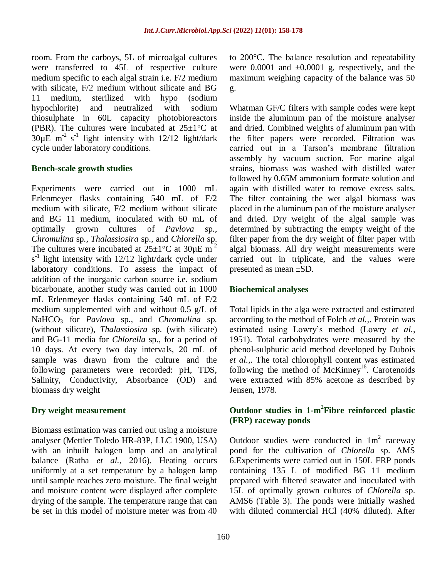room. From the carboys, 5L of microalgal cultures were transferred to 45L of respective culture medium specific to each algal strain i.e. F/2 medium with silicate, F/2 medium without silicate and BG 11 medium, sterilized with hypo (sodium hypochlorite) and neutralized with sodium thiosulphate in 60L capacity photobioreactors (PBR). The cultures were incubated at  $25\pm1\textdegree C$  at  $30 \mu E$  m<sup>-2</sup> s<sup>-1</sup> light intensity with 12/12 light/dark cycle under laboratory conditions.

## **Bench-scale growth studies**

Experiments were carried out in 1000 mL Erlenmeyer flasks containing 540 mL of F/2 medium with silicate, F/2 medium without silicate and BG 11 medium, inoculated with 60 mL of optimally grown cultures of *Pavlova* sp*., Chromulina* sp*., Thalassiosira* sp., and *Chlorella* sp. The cultures were incubated at  $25\pm1\degree C$  at  $30\mu E$  m<sup>-2</sup>  $s<sup>-1</sup>$  light intensity with 12/12 light/dark cycle under laboratory conditions. To assess the impact of addition of the inorganic carbon source i.e. sodium bicarbonate, another study was carried out in 1000 mL Erlenmeyer flasks containing 540 mL of F/2 medium supplemented with and without 0.5 g/L of NaHCO<sup>3</sup> for *Pavlova* sp*.,* and *Chromulina* sp*.*  (without silicate), *Thalassiosira* sp. (with silicate) and BG-11 media for *Chlorella* sp., for a period of 10 days. At every two day intervals, 20 mL of sample was drawn from the culture and the following parameters were recorded: pH, TDS, Salinity, Conductivity, Absorbance (OD) and biomass dry weight

## **Dry weight measurement**

Biomass estimation was carried out using a moisture analyser (Mettler Toledo HR-83P, LLC 1900, USA) with an inbuilt halogen lamp and an analytical balance (Ratha *et al.,* 2016). Heating occurs uniformly at a set temperature by a halogen lamp until sample reaches zero moisture. The final weight and moisture content were displayed after complete drying of the sample. The temperature range that can be set in this model of moisture meter was from 40 to 200°C. The balance resolution and repeatability were  $0.0001$  and  $\pm 0.0001$  g, respectively, and the maximum weighing capacity of the balance was 50 g.

Whatman GF/C filters with sample codes were kept inside the aluminum pan of the moisture analyser and dried. Combined weights of aluminum pan with the filter papers were recorded. Filtration was carried out in a Tarson's membrane filtration assembly by vacuum suction. For marine algal strains, biomass was washed with distilled water followed by 0.65M ammonium formate solution and again with distilled water to remove excess salts. The filter containing the wet algal biomass was placed in the aluminum pan of the moisture analyser and dried. Dry weight of the algal sample was determined by subtracting the empty weight of the filter paper from the dry weight of filter paper with algal biomass. All dry weight measurements were carried out in triplicate, and the values were presented as mean ±SD.

## **Biochemical analyses**

Total lipids in the alga were extracted and estimated according to the method of Folch *et al.,*. Protein was estimated using Lowry's method (Lowry *et al.,* 1951). Total carbohydrates were measured by the phenol-sulphuric acid method developed by Dubois *et al.,*. The total chlorophyll content was estimated following the method of McKinney<sup>16</sup>. Carotenoids were extracted with 85% acetone as described by Jensen, 1978.

## **Outdoor studies in 1-m 2 Fibre reinforced plastic (FRP) raceway ponds**

Outdoor studies were conducted in  $1m^2$  raceway pond for the cultivation of *Chlorella* sp. AMS 6.Experiments were carried out in 150L FRP ponds containing 135 L of modified BG 11 medium prepared with filtered seawater and inoculated with 15L of optimally grown cultures of *Chlorella* sp. AMS6 (Table 3). The ponds were initially washed with diluted commercial HCl (40% diluted). After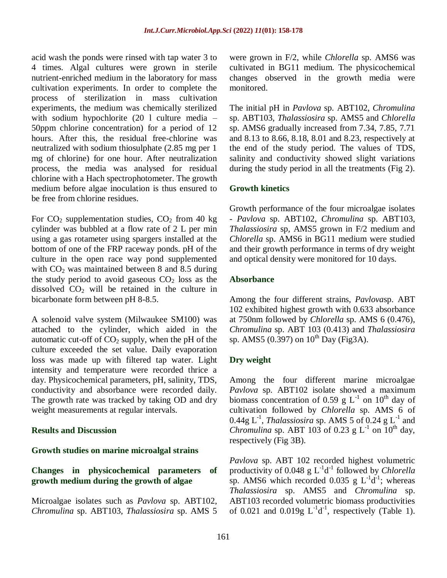acid wash the ponds were rinsed with tap water 3 to 4 times. Algal cultures were grown in sterile nutrient-enriched medium in the laboratory for mass cultivation experiments. In order to complete the process of sterilization in mass cultivation experiments, the medium was chemically sterilized with sodium hypochlorite (20 l culture media – 50ppm chlorine concentration) for a period of 12 hours. After this, the residual free-chlorine was neutralized with sodium thiosulphate (2.85 mg per 1 mg of chlorine) for one hour. After neutralization process, the media was analysed for residual chlorine with a Hach spectrophotometer. The growth medium before algae inoculation is thus ensured to be free from chlorine residues.

For  $CO<sub>2</sub>$  supplementation studies,  $CO<sub>2</sub>$  from 40 kg cylinder was bubbled at a flow rate of 2 L per min using a gas rotameter using spargers installed at the bottom of one of the FRP raceway ponds. pH of the culture in the open race way pond supplemented with  $CO<sub>2</sub>$  was maintained between 8 and 8.5 during the study period to avoid gaseous  $CO<sub>2</sub>$  loss as the dissolved  $CO<sub>2</sub>$  will be retained in the culture in bicarbonate form between pH 8-8.5.

A solenoid valve system (Milwaukee SM100) was attached to the cylinder, which aided in the automatic cut-off of  $CO<sub>2</sub>$  supply, when the pH of the culture exceeded the set value. Daily evaporation loss was made up with filtered tap water. Light intensity and temperature were recorded thrice a day. Physicochemical parameters, pH, salinity, TDS, conductivity and absorbance were recorded daily. The growth rate was tracked by taking OD and dry weight measurements at regular intervals.

#### **Results and Discussion**

#### **Growth studies on marine microalgal strains**

## **Changes in physicochemical parameters of growth medium during the growth of algae**

Microalgae isolates such as *Pavlova* sp. ABT102, *Chromulina* sp. ABT103, *Thalassiosira* sp. AMS 5 were grown in F/2, while *Chlorella* sp. AMS6 was cultivated in BG11 medium. The physicochemical changes observed in the growth media were monitored.

The initial pH in *Pavlova* sp. ABT102, *Chromulina* sp. ABT103, *Thalassiosira* sp. AMS5 and *Chlorella*  sp. AMS6 gradually increased from 7.34, 7.85, 7.71 and 8.13 to 8.66, 8.18, 8.01 and 8.23, respectively at the end of the study period. The values of TDS, salinity and conductivity showed slight variations during the study period in all the treatments (Fig 2).

## **Growth kinetics**

Growth performance of the four microalgae isolates - *Pavlova* sp. ABT102, *Chromulina* sp. ABT103, *Thalassiosira* sp*,* AMS5 grown in F/2 medium and *Chlorella* sp. AMS6 in BG11 medium were studied and their growth performance in terms of dry weight and optical density were monitored for 10 days.

#### **Absorbance**

Among the four different strains, *Pavlova*sp. ABT 102 exhibited highest growth with 0.633 absorbance at 750nm followed by *Chlorella* sp. AMS 6 (0.476), *Chromulina* sp. ABT 103 (0.413) and *Thalassiosira*  sp. AMS5  $(0.397)$  on  $10^{th}$  Day (Fig3A).

## **Dry weight**

Among the four different marine microalgae *Pavlova* sp. ABT102 isolate showed a maximum biomass concentration of 0.59 g  $L^{-1}$  on 10<sup>th</sup> day of cultivation followed by *Chlorella* sp. AMS 6 of  $0.44g L<sup>-1</sup>$ , *Thalassiosira* sp. AMS 5 of 0.24 g L<sup>-1</sup> and *Chromulina* sp. ABT 103 of 0.23 g  $L^{-1}$  on 10<sup>th</sup> day, respectively (Fig 3B).

*Pavlova* sp. ABT 102 recorded highest volumetric productivity of  $0.048 \text{ g L}^{-1} \text{d}^{-1}$  followed by *Chlorella* sp. AMS6 which recorded 0.035 g  $L^{-1}d^{-1}$ ; whereas *Thalassiosira* sp. AMS5 and *Chromulina* sp. ABT103 recorded volumetric biomass productivities of 0.021 and 0.019g  $L^{-1}d^{-1}$ , respectively (Table 1).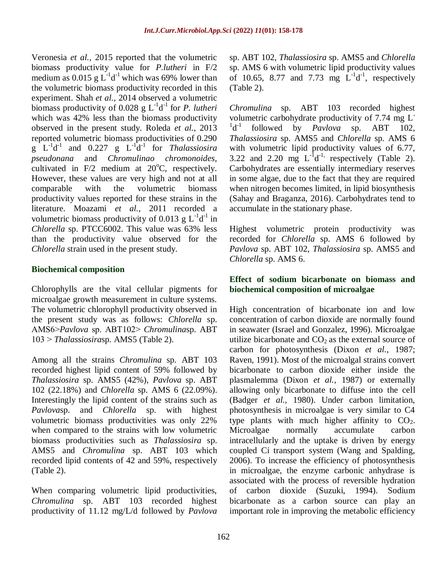Veronesia *et al.,* 2015 reported that the volumetric biomass productivity value for *P.lutheri* in F/2 medium as  $0.015$  g L<sup>-1</sup>d<sup>-1</sup> which was 69% lower than the volumetric biomass productivity recorded in this experiment. Shah *et al.,* 2014 observed a volumetric biomass productivity of  $0.028 \text{ g L}^{-1}d^{-1}$  for *P. lutheri* which was 42% less than the biomass productivity observed in the present study. Roleda *et al.,* 2013 reported volumetric biomass productivities of 0.290  $g \left[ L^{-1} d^{-1} \right]$  and 0.227 g  $L^{-1} d^{-1}$  for *Thalassiosira pseudonana* and *Chromulinao chromonoides*, cultivated in  $F/2$  medium at  $20^{\circ}$ C, respectively. However, these values are very high and not at all comparable with the volumetric biomass productivity values reported for these strains in the literature. Moazami *et al.,* 2011 recorded a volumetric biomass productivity of 0.013 g  $L^{-1}d^{-1}$  in *Chlorella* sp. PTCC6002. This value was 63% less than the productivity value observed for the *Chlorella* strain used in the present study.

## **Biochemical composition**

Chlorophylls are the vital cellular pigments for microalgae growth measurement in culture systems. The volumetric chlorophyll productivity observed in the present study was as follows: *Chlorella* sp. AMS6˃*Pavlova* sp. ABT102˃ *Chromulina*sp. ABT 103 ˃ *Thalassiosira*sp. AMS5 (Table 2).

Among all the strains *Chromulina* sp. ABT 103 recorded highest lipid content of 59% followed by *Thalassiosira* sp. AMS5 (42%), *Pavlova* sp. ABT 102 (22.18%) and *Chlorella* sp. AMS 6 (22.09%). Interestingly the lipid content of the strains such as *Pavlova*sp. and *Chlorella* sp. with highest volumetric biomass productivities was only 22% when compared to the strains with low volumetric biomass productivities such as *Thalassiosira* sp. AMS5 and *Chromulina* sp. ABT 103 which recorded lipid contents of 42 and 59%, respectively (Table 2).

When comparing volumetric lipid productivities, *Chromulina* sp. ABT 103 recorded highest productivity of 11.12 mg/L/d followed by *Pavlova* sp. ABT 102, *Thalassiosira* sp. AMS5 and *Chlorella*  sp. AMS 6 with volumetric lipid productivity values of 10.65, 8.77 and 7.73 mg  $\rm L^{-1}d^{-1}$ , respectively (Table 2).

*Chromulina* sp. ABT 103 recorded highest volumetric carbohydrate productivity of 7.74 mg L- $\mathrm{^{1}d}$ followed by *Pavlova* sp. ABT 102, *Thalassiosira* sp. AMS5 and *Chlorella* sp. AMS 6 with volumetric lipid productivity values of 6.77, 3.22 and 2.20 mg  $L^{-1}d^{-1}$ , respectively (Table 2). Carbohydrates are essentially intermediary reserves in some algae, due to the fact that they are required when nitrogen becomes limited, in lipid biosynthesis (Sahay and Braganza, 2016). Carbohydrates tend to accumulate in the stationary phase.

Highest volumetric protein productivity was recorded for *Chlorella* sp. AMS 6 followed by *Pavlova* sp. ABT 102, *Thalassiosira* sp. AMS5 and *Chlorella* sp. AMS 6.

## **Effect of sodium bicarbonate on biomass and biochemical composition of microalgae**

High concentration of bicarbonate ion and low concentration of carbon dioxide are normally found in seawater (Israel and Gonzalez, 1996). Microalgae utilize bicarbonate and  $CO<sub>2</sub>$  as the external source of carbon for photosynthesis (Dixon *et al.,* 1987; Raven, 1991). Most of the microalgal strains convert bicarbonate to carbon dioxide either inside the plasmalemma (Dixon *et al.,* 1987) or externally allowing only bicarbonate to diffuse into the cell (Badger *et al.,* 1980). Under carbon limitation, photosynthesis in microalgae is very similar to C4 type plants with much higher affinity to  $CO<sub>2</sub>$ . Microalgae normally accumulate carbon intracellularly and the uptake is driven by energy coupled Ci transport system (Wang and Spalding, 2006). To increase the efficiency of photosynthesis in microalgae, the enzyme carbonic anhydrase is associated with the process of reversible hydration of carbon dioxide (Suzuki, 1994). Sodium bicarbonate as a carbon source can play an important role in improving the metabolic efficiency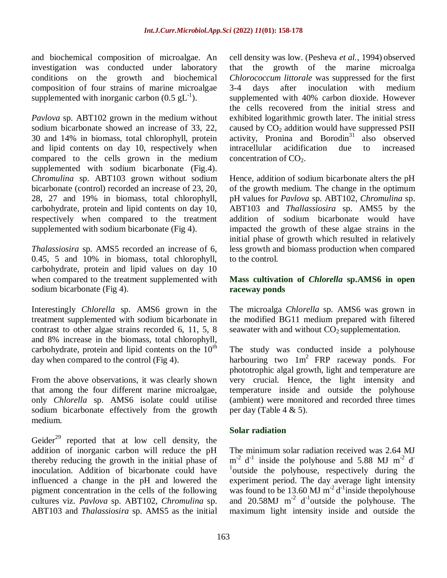and biochemical composition of microalgae. An investigation was conducted under laboratory conditions on the growth and biochemical composition of four strains of marine microalgae supplemented with inorganic carbon  $(0.5 \text{ gL}^{-1})$ .

*Pavlova* sp. ABT102 grown in the medium without sodium bicarbonate showed an increase of 33, 22, 30 and 14% in biomass, total chlorophyll, protein and lipid contents on day 10, respectively when compared to the cells grown in the medium supplemented with sodium bicarbonate (Fig.4). *Chromulina* sp. ABT103 grown without sodium bicarbonate (control) recorded an increase of 23, 20, 28, 27 and 19% in biomass, total chlorophyll, carbohydrate, protein and lipid contents on day 10, respectively when compared to the treatment supplemented with sodium bicarbonate (Fig 4).

*Thalassiosira* sp. AMS5 recorded an increase of 6, 0.45, 5 and 10% in biomass, total chlorophyll, carbohydrate, protein and lipid values on day 10 when compared to the treatment supplemented with sodium bicarbonate (Fig 4).

Interestingly *Chlorella* sp. AMS6 grown in the treatment supplemented with sodium bicarbonate in contrast to other algae strains recorded 6, 11, 5, 8 and 8% increase in the biomass, total chlorophyll, carbohydrate, protein and lipid contents on the  $10<sup>th</sup>$ day when compared to the control (Fig 4).

From the above observations, it was clearly shown that among the four different marine microalgae, only *Chlorella* sp. AMS6 isolate could utilise sodium bicarbonate effectively from the growth medium.

Geider<sup>29</sup> reported that at low cell density, the addition of inorganic carbon will reduce the pH thereby reducing the growth in the initial phase of inoculation. Addition of bicarbonate could have influenced a change in the pH and lowered the pigment concentration in the cells of the following cultures viz. *Pavlova* sp. ABT102, *Chromulina* sp. ABT103 and *Thalassiosira* sp. AMS5 as the initial cell density was low. (Pesheva *et al.,* 1994) observed that the growth of the marine microalga *Chlorococcum littorale* was suppressed for the first 3-4 days after inoculation with medium supplemented with 40% carbon dioxide. However the cells recovered from the initial stress and exhibited logarithmic growth later. The initial stress caused by  $CO<sub>2</sub>$  addition would have suppressed PSII activity, Pronina and Borodin<sup>31</sup> also observed intracellular acidification due to increased concentration of  $CO<sub>2</sub>$ .

Hence, addition of sodium bicarbonate alters the pH of the growth medium. The change in the optimum pH values for *Pavlova* sp. ABT102, *Chromulina* sp. ABT103 and *Thallassiosira* sp. AMS5 by the addition of sodium bicarbonate would have impacted the growth of these algae strains in the initial phase of growth which resulted in relatively less growth and biomass production when compared to the control.

## **Mass cultivation of** *Chlorella* **sp.AMS6 in open raceway ponds**

The microalga *Chlorella* sp. AMS6 was grown in the modified BG11 medium prepared with filtered seawater with and without  $CO<sub>2</sub>$  supplementation.

The study was conducted inside a polyhouse harbouring two  $1m^2$  FRP raceway ponds. For phototrophic algal growth, light and temperature are very crucial. Hence, the light intensity and temperature inside and outside the polyhouse (ambient) were monitored and recorded three times per day (Table  $4 \& 5$ ).

## **Solar radiation**

The minimum solar radiation received was 2.64 MJ  $m^{-2}$  d<sup>-1</sup> inside the polyhouse and 5.88 MJ m<sup>-2</sup> d<sup>-</sup> <sup>1</sup>outside the polyhouse, respectively during the experiment period. The day average light intensity was found to be 13.60 MJ  $m^{-2} d^{-1}$  inside the polyhouse and  $20.58$ MJ m<sup>-2</sup> d<sup>-1</sup>outside the polyhouse. The maximum light intensity inside and outside the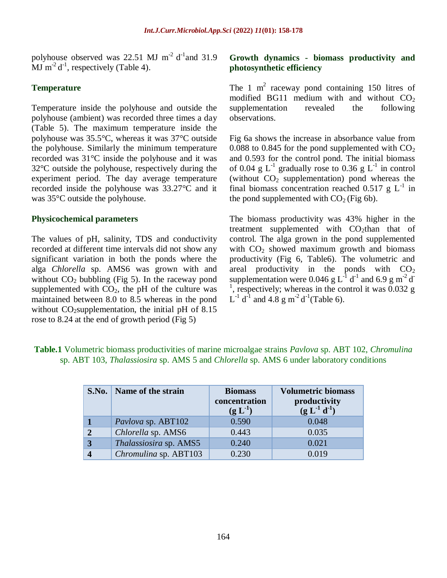polyhouse observed was 22.51 MJ  $m^{-2}$  d<sup>-1</sup> and 31.9  $\overline{M}$ J m<sup>-2</sup> d<sup>-1</sup>, respectively (Table 4).

#### **Temperature**

Temperature inside the polyhouse and outside the polyhouse (ambient) was recorded three times a day (Table 5). The maximum temperature inside the polyhouse was 35.5°C, whereas it was 37°C outside the polyhouse. Similarly the minimum temperature recorded was 31°C inside the polyhouse and it was 32°C outside the polyhouse, respectively during the experiment period. The day average temperature recorded inside the polyhouse was 33.27°C and it was 35°C outside the polyhouse.

## **Physicochemical parameters**

The values of pH, salinity, TDS and conductivity recorded at different time intervals did not show any significant variation in both the ponds where the alga *Chlorella* sp. AMS6 was grown with and without  $CO<sub>2</sub>$  bubbling (Fig 5). In the raceway pond supplemented with  $CO<sub>2</sub>$ , the pH of the culture was maintained between 8.0 to 8.5 whereas in the pond without  $CO_2$ supplementation, the initial pH of 8.15 rose to 8.24 at the end of growth period (Fig 5)

## **Growth dynamics - biomass productivity and photosynthetic efficiency**

The 1  $m^2$  raceway pond containing 150 litres of modified BG11 medium with and without  $CO<sub>2</sub>$ supplementation revealed the following observations.

Fig 6a shows the increase in absorbance value from 0.088 to 0.845 for the pond supplemented with  $CO<sub>2</sub>$ and 0.593 for the control pond. The initial biomass of 0.04 g  $L^{-1}$  gradually rose to 0.36 g  $L^{-1}$  in control (without  $CO<sub>2</sub>$  supplementation) pond whereas the final biomass concentration reached  $0.517 \text{ g L}^{-1}$  in the pond supplemented with  $CO<sub>2</sub>$  (Fig 6b).

The biomass productivity was 43% higher in the treatment supplemented with  $CO<sub>2</sub>$ than that of control. The alga grown in the pond supplemented with  $CO<sub>2</sub>$  showed maximum growth and biomass productivity (Fig 6, Table6). The volumetric and areal productivity in the ponds with  $CO<sub>2</sub>$ supplementation were 0.046 g  $L^{-1}$  d<sup>-1</sup> and 6.9 g m<sup>-2</sup> d<sup>-</sup> <sup>1</sup>, respectively; whereas in the control it was  $0.032$  g  $L^{-1}$  d<sup>-1</sup> and 4.8 g m<sup>-2</sup> d<sup>-1</sup>(Table 6).

|  |  | <b>Table.1</b> Volumetric biomass productivities of marine microalgae strains <i>Pavlova</i> sp. ABT 102, <i>Chromulina</i> |  |  |
|--|--|-----------------------------------------------------------------------------------------------------------------------------|--|--|
|  |  | sp. ABT 103, <i>Thalassiosira</i> sp. AMS 5 and <i>Chlorella</i> sp. AMS 6 under laboratory conditions                      |  |  |

| S.No.         | Name of the strain     | <b>Biomass</b><br>concentration<br>$(g L^{-1})$ | <b>Volumetric biomass</b><br>productivity<br>$(g L^{-1} d^{-1})$ |
|---------------|------------------------|-------------------------------------------------|------------------------------------------------------------------|
|               | Pavlova sp. ABT102     | 0.590                                           | 0.048                                                            |
| $\mathcal{D}$ | Chlorella sp. AMS6     | 0.443                                           | 0.035                                                            |
|               | Thalassiosira sp. AMS5 | 0.240                                           | 0.021                                                            |
|               | Chromulina sp. ABT103  | 0.230                                           | 0.019                                                            |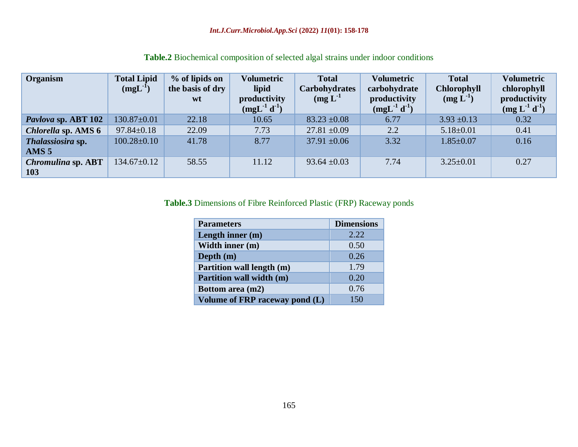| Organism                   | <b>Total Lipid</b><br>$(mgL^{-1})$ | % of lipids on<br>the basis of dry<br>wt | <b>Volumetric</b><br>lipid<br>productivity<br>$(mgL^{-1}d^{-1})$ | <b>Total</b><br><b>Carbohydrates</b><br>$(mg L-1)$ | <b>Volumetric</b><br>carbohydrate<br>productivity<br>$(mgL^{-1}d^{-1})$ | <b>Total</b><br><b>Chlorophyll</b><br>$(mg L^{-1})$ | <b>Volumetric</b><br>chlorophyll<br>productivity<br>$(mg L-1 d-1)$ |
|----------------------------|------------------------------------|------------------------------------------|------------------------------------------------------------------|----------------------------------------------------|-------------------------------------------------------------------------|-----------------------------------------------------|--------------------------------------------------------------------|
| Pavlova sp. ABT 102        | $130.87 \pm 0.01$                  | 22.18                                    | 10.65                                                            | $83.23 \pm 0.08$                                   | 6.77                                                                    | $3.93 \pm 0.13$                                     | 0.32                                                               |
| Chlorella sp. AMS 6        | $97.84 \pm 0.18$                   | 22.09                                    | 7.73                                                             | $27.81 \pm 0.09$                                   | 2.2                                                                     | $5.18 \pm 0.01$                                     | 0.41                                                               |
| Thalassiosira sp.<br>AMS 5 | $100.28 \pm 0.10$                  | 41.78                                    | 8.77                                                             | $37.91 \pm 0.06$                                   | 3.32                                                                    | $1.85 \pm 0.07$                                     | 0.16                                                               |
| Chromulina sp. ABT<br>103  | $134.67 \pm 0.12$                  | 58.55                                    | 11.12                                                            | $93.64 \pm 0.03$                                   | 7.74                                                                    | $3.25 \pm 0.01$                                     | 0.27                                                               |

# **Table.2** Biochemical composition of selected algal strains under indoor conditions

**Table.3** Dimensions of Fibre Reinforced Plastic (FRP) Raceway ponds

| <b>Parameters</b>              | <b>Dimensions</b> |
|--------------------------------|-------------------|
| Length inner $(m)$             | 2.22              |
| Width inner (m)                | 0.50              |
| Depth (m)                      | 0.26              |
| Partition wall length (m)      | 1.79              |
| Partition wall width (m)       | 0.20              |
| Bottom area (m2)               | 0.76              |
| Volume of FRP raceway pond (L) | 150               |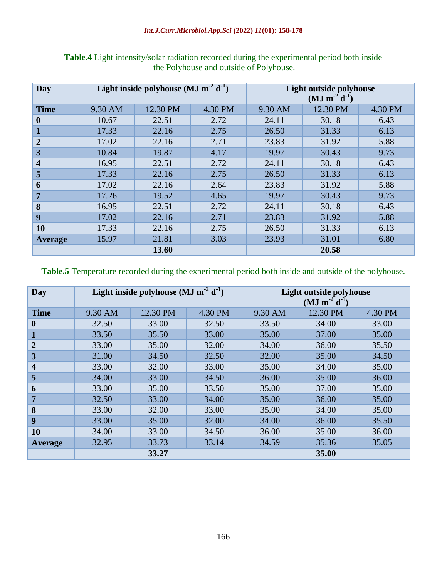#### *Int.J.Curr.Microbiol.App.Sci* **(2022)** *11***(01): 158-178**

| <b>Day</b>              | Light inside polyhouse $(MJ m^2 d^1)$ |          |         | Light outside polyhouse<br>$(MJ \, m^2 \, d^{-1})$ |          |         |
|-------------------------|---------------------------------------|----------|---------|----------------------------------------------------|----------|---------|
| <b>Time</b>             | 9.30 AM                               | 12.30 PM | 4.30 PM | 9.30 AM                                            | 12.30 PM | 4.30 PM |
| $\boldsymbol{0}$        | 10.67                                 | 22.51    | 2.72    | 24.11                                              | 30.18    | 6.43    |
| 1                       | 17.33                                 | 22.16    | 2.75    | 26.50                                              | 31.33    | 6.13    |
| $\overline{2}$          | 17.02                                 | 22.16    | 2.71    | 23.83                                              | 31.92    | 5.88    |
| 3                       | 10.84                                 | 19.87    | 4.17    | 19.97                                              | 30.43    | 9.73    |
| $\overline{\mathbf{4}}$ | 16.95                                 | 22.51    | 2.72    | 24.11                                              | 30.18    | 6.43    |
| 5                       | 17.33                                 | 22.16    | 2.75    | 26.50                                              | 31.33    | 6.13    |
| 6                       | 17.02                                 | 22.16    | 2.64    | 23.83                                              | 31.92    | 5.88    |
| 7                       | 17.26                                 | 19.52    | 4.65    | 19.97                                              | 30.43    | 9.73    |
| 8                       | 16.95                                 | 22.51    | 2.72    | 24.11                                              | 30.18    | 6.43    |
| 9                       | 17.02                                 | 22.16    | 2.71    | 23.83                                              | 31.92    | 5.88    |
| 10                      | 17.33                                 | 22.16    | 2.75    | 26.50                                              | 31.33    | 6.13    |
| Average                 | 15.97                                 | 21.81    | 3.03    | 23.93                                              | 31.01    | 6.80    |
|                         | 13.60                                 |          |         | 20.58                                              |          |         |

# **Table.4** Light intensity/solar radiation recorded during the experimental period both inside the Polyhouse and outside of Polyhouse.

# **Table.5** Temperature recorded during the experimental period both inside and outside of the polyhouse.

| <b>Day</b>              | Light inside polyhouse $(\overline{M}J m^{-2} d^{-1})$ |          |         | Light outside polyhouse<br>$(MJ \, m^{-2} \, d^{-1})$ |          |         |
|-------------------------|--------------------------------------------------------|----------|---------|-------------------------------------------------------|----------|---------|
| <b>Time</b>             | 9.30 AM                                                | 12.30 PM | 4.30 PM | 9.30 AM                                               | 12.30 PM | 4.30 PM |
| $\boldsymbol{0}$        | 32.50                                                  | 33.00    | 32.50   | 33.50                                                 | 34.00    | 33.00   |
| $\mathbf 1$             | 33.50                                                  | 35.50    | 33.00   | 35.00                                                 | 37.00    | 35.00   |
| $\boldsymbol{2}$        | 33.00                                                  | 35.00    | 32.00   | 34.00                                                 | 36.00    | 35.50   |
| 3                       | 31.00                                                  | 34.50    | 32.50   | 32.00                                                 | 35.00    | 34.50   |
| $\overline{\mathbf{4}}$ | 33.00                                                  | 32.00    | 33.00   | 35.00                                                 | 34.00    | 35.00   |
| 5                       | 34.00                                                  | 33.00    | 34.50   | 36.00                                                 | 35.00    | 36.00   |
| 6                       | 33.00                                                  | 35.00    | 33.50   | 35.00                                                 | 37.00    | 35.00   |
| 7                       | 32.50                                                  | 33.00    | 34.00   | 35.00                                                 | 36.00    | 35.00   |
| 8                       | 33.00                                                  | 32.00    | 33.00   | 35.00                                                 | 34.00    | 35.00   |
| $\boldsymbol{9}$        | 33.00                                                  | 35.00    | 32.00   | 34.00                                                 | 36.00    | 35.50   |
| 10                      | 34.00                                                  | 33.00    | 34.50   | 36.00                                                 | 35.00    | 36.00   |
| <b>Average</b>          | 32.95                                                  | 33.73    | 33.14   | 34.59                                                 | 35.36    | 35.05   |
|                         | 33.27                                                  |          |         | 35.00                                                 |          |         |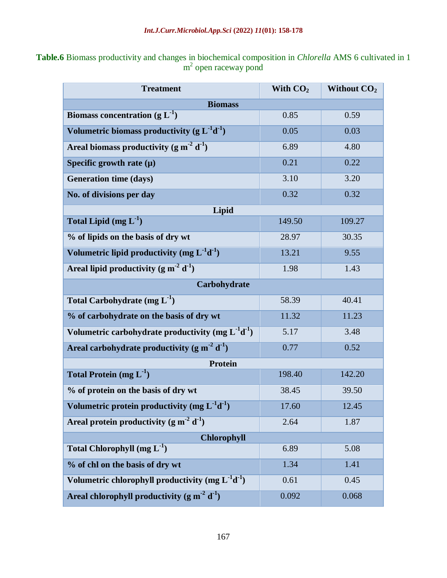| <b>Table.6</b> Biomass productivity and changes in biochemical composition in <i>Chlorella</i> AMS 6 cultivated in 1 |  |
|----------------------------------------------------------------------------------------------------------------------|--|
| $m2$ open raceway pond                                                                                               |  |

| <b>Treatment</b>                                                     | With $CO2$ | <b>Without CO<sub>2</sub></b> |  |  |  |  |  |
|----------------------------------------------------------------------|------------|-------------------------------|--|--|--|--|--|
| <b>Biomass</b>                                                       |            |                               |  |  |  |  |  |
| Biomass concentration (g $L^{-1}$ )                                  | 0.85       | 0.59                          |  |  |  |  |  |
| Volumetric biomass productivity (g $L^{-1}d^{-1}$ )                  | 0.05       | 0.03                          |  |  |  |  |  |
| Areal biomass productivity $(g m^2 d^1)$                             | 6.89       | 4.80                          |  |  |  |  |  |
| Specific growth rate $(\mu)$                                         | 0.21       | 0.22                          |  |  |  |  |  |
| <b>Generation time (days)</b>                                        | 3.10       | 3.20                          |  |  |  |  |  |
| No. of divisions per day                                             | 0.32       | 0.32                          |  |  |  |  |  |
| Lipid                                                                |            |                               |  |  |  |  |  |
| Total Lipid $(mg L^{-1})$                                            | 149.50     | 109.27                        |  |  |  |  |  |
| % of lipids on the basis of dry wt                                   | 28.97      | 30.35                         |  |  |  |  |  |
| Volumetric lipid productivity (mg $L^{-1}d^{-1}$ )                   | 13.21      | 9.55                          |  |  |  |  |  |
| Areal lipid productivity $(g m^2 d^1)$                               | 1.98       | 1.43                          |  |  |  |  |  |
| Carbohydrate                                                         |            |                               |  |  |  |  |  |
| Total Carbohydrate (mg L <sup>-1</sup> )                             | 58.39      | 40.41                         |  |  |  |  |  |
| % of carbohydrate on the basis of dry wt                             | 11.32      | 11.23                         |  |  |  |  |  |
| Volumetric carbohydrate productivity (mg $L^{-1}d^{-1}$ )            | 5.17       | 3.48                          |  |  |  |  |  |
| Areal carbohydrate productivity (g m <sup>-2</sup> d <sup>-1</sup> ) | 0.77       | 0.52                          |  |  |  |  |  |
| Protein                                                              |            |                               |  |  |  |  |  |
| Total Protein $(mg L^{-1})$                                          | 198.40     | 142.20                        |  |  |  |  |  |
| % of protein on the basis of dry wt                                  | 38.45      | 39.50                         |  |  |  |  |  |
| Volumetric protein productivity (mg $L^{-1}d^{-1}$ )                 | 17.60      | 12.45                         |  |  |  |  |  |
| Areal protein productivity $(g m^2 d^1)$                             | 2.64       | 1.87                          |  |  |  |  |  |
| <b>Chlorophyll</b>                                                   |            |                               |  |  |  |  |  |
| Total Chlorophyll $(mg L^{-1})$                                      | 6.89       | 5.08                          |  |  |  |  |  |
| % of chl on the basis of dry wt                                      | 1.34       | 1.41                          |  |  |  |  |  |
| Volumetric chlorophyll productivity (mg $L^{-1}d^{-1}$ )             | 0.61       | 0.45                          |  |  |  |  |  |
| Areal chlorophyll productivity $(g m^2 d^1)$                         | 0.092      | 0.068                         |  |  |  |  |  |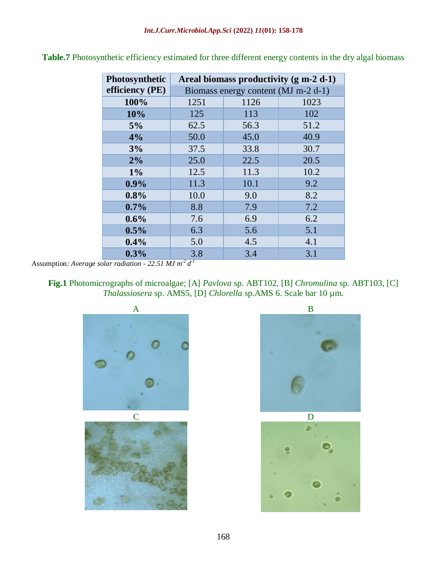| Photosynthetic  | Areal biomass productivity (g m-2 d-1) |      |      |  |  |  |
|-----------------|----------------------------------------|------|------|--|--|--|
| efficiency (PE) | Biomass energy content (MJ m-2 d-1)    |      |      |  |  |  |
| 100%            | 1126<br>1023<br>1251                   |      |      |  |  |  |
| 10%             | 125                                    | 113  | 102  |  |  |  |
| 5%              | 62.5                                   | 56.3 | 51.2 |  |  |  |
| 4%              | 50.0                                   | 45.0 | 40.9 |  |  |  |
| 3%              | 37.5                                   | 33.8 | 30.7 |  |  |  |
| 2%              | 25.0                                   | 22.5 | 20.5 |  |  |  |
| $1\%$           | 12.5                                   | 11.3 | 10.2 |  |  |  |
| 0.9%            | 11.3                                   | 10.1 | 9.2  |  |  |  |
| 0.8%            | 10.0                                   | 9.0  | 8.2  |  |  |  |
| 0.7%            | 8.8                                    | 7.9  | 7.2  |  |  |  |
| 0.6%            | 7.6                                    | 6.9  | 6.2  |  |  |  |
| 0.5%            | 6.3                                    | 5.6  | 5.1  |  |  |  |
| 0.4%            | 5.0                                    | 4.5  | 4.1  |  |  |  |
| 0.3%            | 3.8                                    | 3.4  | 3.1  |  |  |  |

**Table.7** Photosynthetic efficiency estimated for three different energy contents in the dry algal biomass

Assumption*: Average solar radiation - 22.51 MJ m<sup>-2</sup> d<sup>-1</sup>* 

**Fig.1** Photomicrographs of microalgae; [A] *Pavlova* sp. ABT102, [B] *Chromulina* sp. ABT103, [C] *Thalassiosera* sp. AMS5, [D] *Chlorella* sp.AMS 6. Scale bar 10 µm.







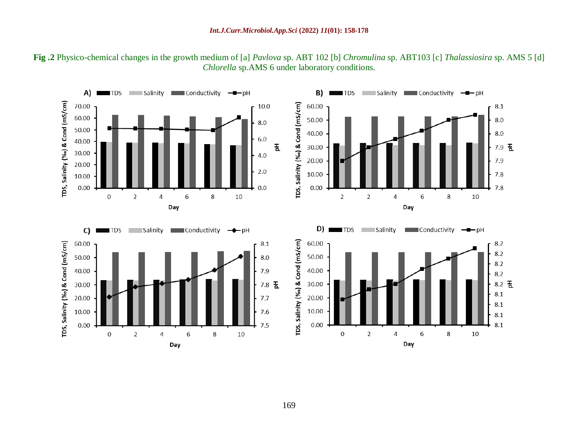

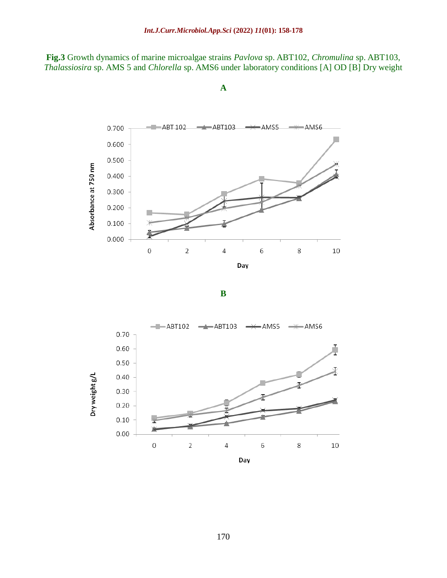**Fig.3** Growth dynamics of marine microalgae strains *Pavlova* sp. ABT102, *Chromulina* sp. ABT103, *Thalassiosira* sp. AMS 5 and *Chlorella* sp. AMS6 under laboratory conditions [A] OD [B] Dry weight



**A**

**B**

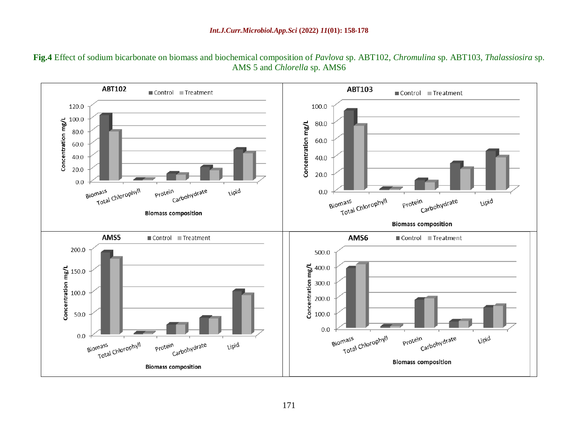**Fig.4** Effect of sodium bicarbonate on biomass and biochemical composition of *Pavlova* sp. ABT102, *Chromulina* sp. ABT103, *Thalassiosira* sp. AMS 5 and *Chlorella* sp. AMS6

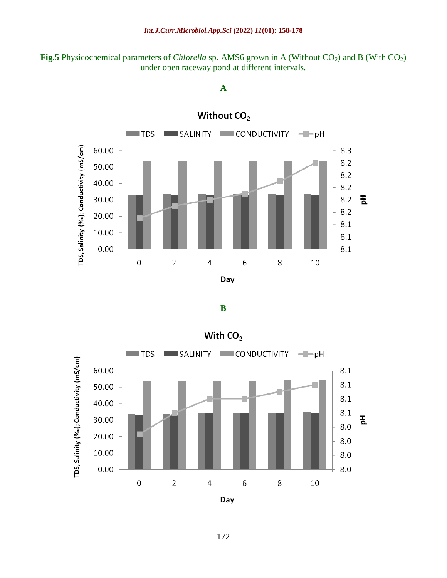**Fig.5** Physicochemical parameters of *Chlorella* sp. AMS6 grown in A (Without CO<sub>2</sub>) and B (With CO<sub>2</sub>) under open raceway pond at different intervals.



## **A**

**B**



With  $CO<sub>2</sub>$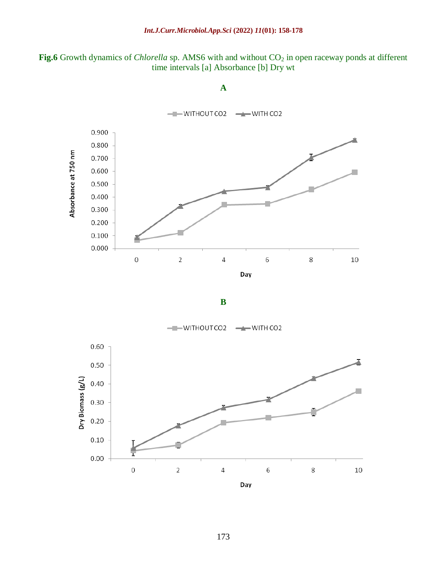Fig.6 Growth dynamics of *Chlorella* sp. AMS6 with and without CO<sub>2</sub> in open raceway ponds at different time intervals [a] Absorbance [b] Dry wt



## **A**

**B**



173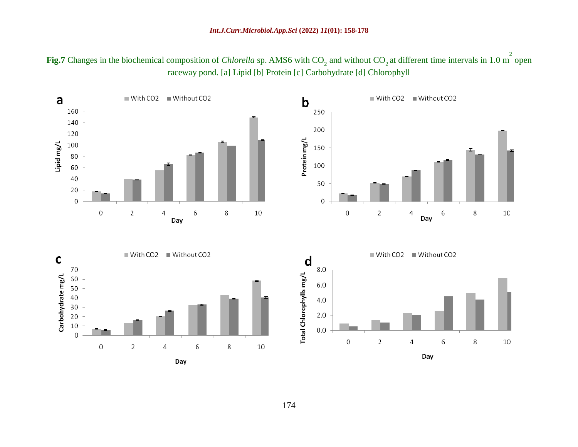

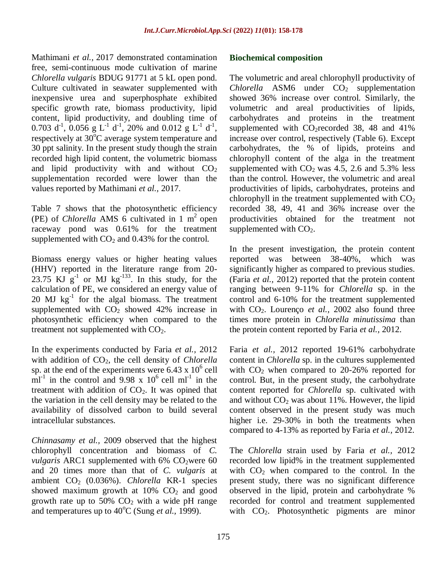Mathimani *et al.,* 2017 demonstrated contamination free, semi-continuous mode cultivation of marine *Chlorella vulgaris* BDUG 91771 at 5 kL open pond. Culture cultivated in seawater supplemented with inexpensive urea and superphosphate exhibited specific growth rate, biomass productivity, lipid content, lipid productivity, and doubling time of 0.703 d<sup>-1</sup>, 0.056 g L<sup>-1</sup> d<sup>-1</sup>, 20% and 0.012 g L<sup>-1</sup> d<sup>-1</sup>, respectively at  $30^{\circ}$ C average system temperature and 30 ppt salinity. In the present study though the strain recorded high lipid content, the volumetric biomass and lipid productivity with and without  $CO<sub>2</sub>$ supplementation recorded were lower than the values reported by Mathimani *et al.,* 2017.

Table 7 shows that the photosynthetic efficiency (PE) of *Chlorella* AMS  $\overline{6}$  cultivated in 1 m<sup>2</sup> open raceway pond was 0.61% for the treatment supplemented with  $CO<sub>2</sub>$  and 0.43% for the control.

Biomass energy values or higher heating values (HHV) reported in the literature range from 20- 23.75 KJ  $g^{-1}$  or MJ kg<sup>-133</sup>. In this study, for the calculation of PE, we considered an energy value of  $20$  MJ kg<sup>-1</sup> for the algal biomass. The treatment supplemented with  $CO<sub>2</sub>$  showed 42% increase in photosynthetic efficiency when compared to the treatment not supplemented with  $CO<sub>2</sub>$ .

In the experiments conducted by Faria *et al.,* 2012 with addition of CO<sub>2</sub>, the cell density of *Chlorella* sp. at the end of the experiments were  $6.43 \times 10^6$  cell  $\text{m1}^{-1}$  in the control and 9.98 x 10<sup>6</sup> cell ml<sup>-1</sup> in the treatment with addition of  $CO<sub>2</sub>$ . It was opined that the variation in the cell density may be related to the availability of dissolved carbon to build several intracellular substances.

*Chinnasamy et al.,* 2009 observed that the highest chlorophyll concentration and biomass of *C. vulgaris* ARC1 supplemented with  $6\%$  CO<sub>2</sub>were  $60$ and 20 times more than that of *C. vulgaris* at ambient CO<sub>2</sub> (0.036%). *Chlorella* KR-1 species showed maximum growth at  $10\%$  CO<sub>2</sub> and good growth rate up to 50%  $CO<sub>2</sub>$  with a wide pH range and temperatures up to  $40^{\circ}$ C (Sung *et al.,* 1999).

## **Biochemical composition**

The volumetric and areal chlorophyll productivity of *Chlorella* ASM6 under  $CO<sub>2</sub>$  supplementation showed 36% increase over control. Similarly, the volumetric and areal productivities of lipids, carbohydrates and proteins in the treatment supplemented with  $CO<sub>2</sub>$ recorded 38, 48 and 41% increase over control, respectively (Table 6). Except carbohydrates, the % of lipids, proteins and chlorophyll content of the alga in the treatment supplemented with  $CO<sub>2</sub>$  was 4.5, 2.6 and 5.3% less than the control. However, the volumetric and areal productivities of lipids, carbohydrates, proteins and chlorophyll in the treatment supplemented with  $CO<sub>2</sub>$ recorded 38, 49, 41 and 36% increase over the productivities obtained for the treatment not supplemented with  $CO<sub>2</sub>$ .

In the present investigation, the protein content reported was between 38-40%, which was significantly higher as compared to previous studies. (Faria *et al.,* 2012) reported that the protein content ranging between 9-11% for *Chlorella* sp. in the control and 6-10% for the treatment supplemented with CO2. Lourenço *et al.,* 2002 also found three times more protein in *Chlorella minutissima* than the protein content reported by Faria *et al.,* 2012.

Faria *et al.,* 2012 reported 19-61% carbohydrate content in *Chlorella* sp. in the cultures supplemented with  $CO<sub>2</sub>$  when compared to 20-26% reported for control. But, in the present study, the carbohydrate content reported for *Chlorella* sp. cultivated with and without  $CO<sub>2</sub>$  was about 11%. However, the lipid content observed in the present study was much higher i.e. 29-30% in both the treatments when compared to 4-13% as reported by Faria *et al.,* 2012.

The *Chlorella* strain used by Faria *et al.,* 2012 recorded low lipid% in the treatment supplemented with  $CO<sub>2</sub>$  when compared to the control. In the present study, there was no significant difference observed in the lipid, protein and carbohydrate % recorded for control and treatment supplemented with  $CO<sub>2</sub>$ . Photosynthetic pigments are minor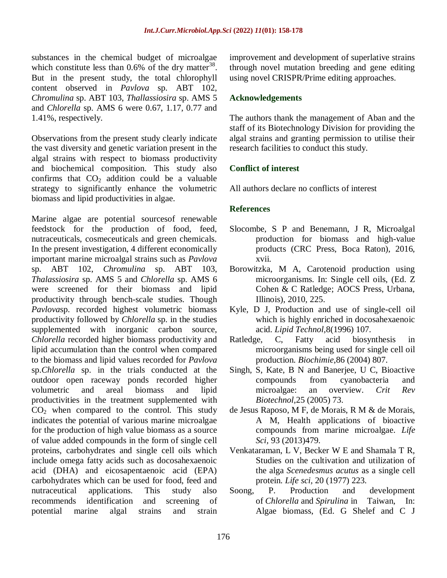substances in the chemical budget of microalgae which constitute less than  $0.6\%$  of the dry matter<sup>38</sup>. But in the present study, the total chlorophyll content observed in *Pavlova* sp. ABT 102, *Chromulina* sp. ABT 103, *Thallassiosira* sp. AMS 5 and *Chlorella* sp. AMS 6 were 0.67, 1.17, 0.77 and 1.41%, respectively.

Observations from the present study clearly indicate the vast diversity and genetic variation present in the algal strains with respect to biomass productivity and biochemical composition. This study also confirms that  $CO<sub>2</sub>$  addition could be a valuable strategy to significantly enhance the volumetric biomass and lipid productivities in algae.

Marine algae are potential sourcesof renewable feedstock for the production of food, feed, nutraceuticals, cosmeceuticals and green chemicals. In the present investigation, 4 different economically important marine microalgal strains such as *Pavlova* sp. ABT 102, *Chromulina* sp. ABT 103, *Thalassiosira* sp. AMS 5 and *Chlorella* sp. AMS 6 were screened for their biomass and lipid productivity through bench-scale studies. Though *Pavlova*sp. recorded highest volumetric biomass productivity followed by *Chlorella* sp. in the studies supplemented with inorganic carbon source, *Chlorella* recorded higher biomass productivity and lipid accumulation than the control when compared to the biomass and lipid values recorded for *Pavlova* sp.*Chlorella* sp. in the trials conducted at the outdoor open raceway ponds recorded higher volumetric and areal biomass and lipid productivities in the treatment supplemented with  $CO<sub>2</sub>$  when compared to the control. This study indicates the potential of various marine microalgae for the production of high value biomass as a source of value added compounds in the form of single cell proteins, carbohydrates and single cell oils which include omega fatty acids such as docosahexaenoic acid (DHA) and eicosapentaenoic acid (EPA) carbohydrates which can be used for food, feed and nutraceutical applications. This study also recommends identification and screening of potential marine algal strains and strain

improvement and development of superlative strains through novel mutation breeding and gene editing using novel CRISPR/Prime editing approaches.

## **Acknowledgements**

The authors thank the management of Aban and the staff of its Biotechnology Division for providing the algal strains and granting permission to utilise their research facilities to conduct this study.

## **Conflict of interest**

All authors declare no conflicts of interest

## **References**

- Slocombe, S P and Benemann, J R, Microalgal production for biomass and high-value products (CRC Press, Boca Raton), 2016, xvii.
- Borowitzka, M A, Carotenoid production using microorganisms. In: Single cell oils, (Ed. Z Cohen & C Ratledge; AOCS Press, Urbana, Illinois), 2010, 225.
- Kyle, D J, Production and use of single-cell oil which is highly enriched in docosahexaenoic acid. *Lipid Technol,*8(1996) 107.
- Ratledge, C, Fatty acid biosynthesis in microorganisms being used for single cell oil production. *Biochimie*,86 (2004) 807.
- Singh, S, Kate, B N and Banerjee, U C, Bioactive compounds from cyanobacteria and microalgae: an overview. *Crit Rev Biotechnol,*25 (2005) 73.
- de Jesus Raposo, M F, de Morais, R M & de Morais, A M, Health applications of bioactive compounds from marine microalgae. *Life Sci,* 93 (2013)479.
- Venkataraman, L V, Becker W E and Shamala T R, Studies on the cultivation and utilization of the alga *Scenedesmus acutus* as a single cell protein. *Life sci,* 20 (1977) 223.
- Soong, P. Production and development of *Chlorella* and *Spirulina* in Taiwan, In: Algae biomass, (Ed. G Shelef and C J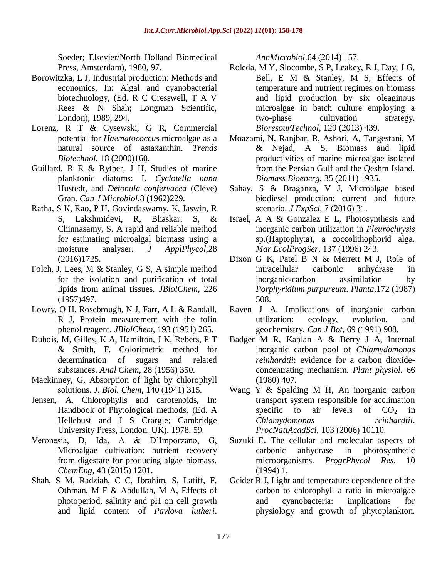Soeder; Elsevier/North Holland Biomedical Press, Amsterdam), 1980, 97.

- Borowitzka, L J, Industrial production: Methods and economics, In: Algal and cyanobacterial biotechnology, (Ed. R C Cresswell, T A V Rees & N Shah; Longman Scientific, London), 1989, 294.
- Lorenz, R T & Cysewski, G R, Commercial potential for *Haematococcus* microalgae as a natural source of astaxanthin. *Trends Biotechnol*, 18 (2000)160.
- Guillard, R R & Ryther, J H, Studies of marine planktonic diatoms: I. *Cyclotella nana*  Hustedt, and *Detonula confervacea* (Cleve) Gran. *Can J Microbiol*,8 (1962)229.
- Ratha, S K, Rao, P H, Govindaswamy, K, Jaswin, R S, Lakshmidevi, R, Bhaskar, S, & Chinnasamy, S. A rapid and reliable method for estimating microalgal biomass using a moisture analyser. *J ApplPhycol*,28 (2016)1725.
- Folch, J, Lees, M & Stanley, G S, A simple method for the isolation and purification of total lipids from animal tissues. *JBiolChem*, 226 (1957)497.
- Lowry, O H, Rosebrough, N J, Farr, A L & Randall, R J, Protein measurement with the folin phenol reagent. *JBiolChem,* 193 (1951) 265.
- Dubois, M, Gilles, K A, Hamilton, J K, Rebers, P T & Smith, F, Colorimetric method for determination of sugars and related substances. *Anal Chem,* 28 (1956) 350.
- Mackinney, G, Absorption of light by chlorophyll solutions. *J. Biol. Chem*, 140 (1941) 315.
- Jensen, A, Chlorophylls and carotenoids, In: Handbook of Phytological methods, (Ed. A Hellebust and J S Crargie; Cambridge University Press, London, UK), 1978, 59.
- Veronesia, D, Ida, A & D'Imporzano, G, Microalgae cultivation: nutrient recovery from digestate for producing algae biomass. *ChemEng*, 43 (2015) 1201.
- Shah, S M, Radziah, C C, Ibrahim, S, Latiff, F, Othman, M F & Abdullah, M A, Effects of photoperiod, salinity and pH on cell growth and lipid content of *Pavlova lutheri*.

*AnnMicrobiol,*64 (2014) 157.

- Roleda, M Y, Slocombe, S P, Leakey, R J, Day, J G, Bell, E M & Stanley, M S, Effects of temperature and nutrient regimes on biomass and lipid production by six oleaginous microalgae in batch culture employing a two-phase cultivation strategy. *BioresourTechnol,* 129 (2013) 439.
- Moazami, N, Ranjbar, R, Ashori, A, Tangestani, M & Nejad, A S, Biomass and lipid productivities of marine microalgae isolated from the Persian Gulf and the Qeshm Island. *Biomass Bioenerg,* 35 (2011) 1935.
- Sahay, S & Braganza, V J, Microalgae based biodiesel production: current and future scenario. *J ExpSci,* 7 (2016) 31.
- Israel, A A & Gonzalez E L, Photosynthesis and inorganic carbon utilization in *Pleurochrysis*  sp.(Haptophyta), a coccolithophorid alga. *Mar EcolProgSer*, 137 (1996) 243.
- Dixon G K, Patel B N & Merrett M J, Role of intracellular carbonic anhydrase in inorganic-carbon assimilation by *Porphyridium purpureum*. *Planta*,172 (1987) 508.
- Raven J A. Implications of inorganic carbon utilization: ecology, evolution, and geochemistry. *Can J Bot,* 69 (1991) 908.
- Badger M R, Kaplan A & Berry J A, Internal inorganic carbon pool of *Chlamydomonas reinhardtii*: evidence for a carbon dioxideconcentrating mechanism. *Plant physiol*. 66 (1980) 407.
- Wang Y & Spalding M H, An inorganic carbon transport system responsible for acclimation specific to air levels of  $CO<sub>2</sub>$  in *Chlamydomonas reinhardtii*. *ProcNatlAcadSci,* 103 (2006) 10110.
- Suzuki E. The cellular and molecular aspects of carbonic anhydrase in photosynthetic microorganisms. *ProgrPhycol Res*, 10 (1994) 1.
- Geider R J, Light and temperature dependence of the carbon to chlorophyll a ratio in microalgae and cyanobacteria: implications for physiology and growth of phytoplankton.